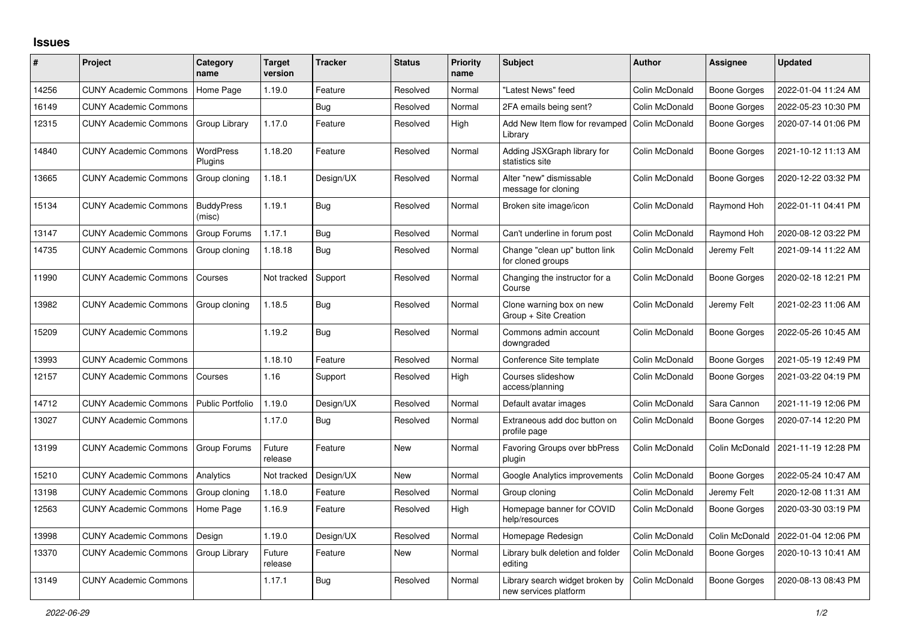## **Issues**

| ∦     | Project                      | Category<br>name            | <b>Target</b><br>version | <b>Tracker</b> | <b>Status</b> | Priority<br>name | <b>Subject</b>                                           | <b>Author</b>  | <b>Assignee</b>     | <b>Updated</b>      |
|-------|------------------------------|-----------------------------|--------------------------|----------------|---------------|------------------|----------------------------------------------------------|----------------|---------------------|---------------------|
| 14256 | <b>CUNY Academic Commons</b> | Home Page                   | 1.19.0                   | Feature        | Resolved      | Normal           | 'Latest News" feed                                       | Colin McDonald | <b>Boone Gorges</b> | 2022-01-04 11:24 AM |
| 16149 | <b>CUNY Academic Commons</b> |                             |                          | Bug            | Resolved      | Normal           | 2FA emails being sent?                                   | Colin McDonald | <b>Boone Gorges</b> | 2022-05-23 10:30 PM |
| 12315 | <b>CUNY Academic Commons</b> | Group Library               | 1.17.0                   | Feature        | Resolved      | High             | Add New Item flow for revamped<br>Library                | Colin McDonald | <b>Boone Gorges</b> | 2020-07-14 01:06 PM |
| 14840 | <b>CUNY Academic Commons</b> | <b>WordPress</b><br>Plugins | 1.18.20                  | Feature        | Resolved      | Normal           | Adding JSXGraph library for<br>statistics site           | Colin McDonald | <b>Boone Gorges</b> | 2021-10-12 11:13 AM |
| 13665 | <b>CUNY Academic Commons</b> | Group cloning               | 1.18.1                   | Design/UX      | Resolved      | Normal           | Alter "new" dismissable<br>message for cloning           | Colin McDonald | <b>Boone Gorges</b> | 2020-12-22 03:32 PM |
| 15134 | <b>CUNY Academic Commons</b> | <b>BuddyPress</b><br>(misc) | 1.19.1                   | <b>Bug</b>     | Resolved      | Normal           | Broken site image/icon                                   | Colin McDonald | Raymond Hoh         | 2022-01-11 04:41 PM |
| 13147 | <b>CUNY Academic Commons</b> | Group Forums                | 1.17.1                   | <b>Bug</b>     | Resolved      | Normal           | Can't underline in forum post                            | Colin McDonald | Raymond Hoh         | 2020-08-12 03:22 PM |
| 14735 | <b>CUNY Academic Commons</b> | Group cloning               | 1.18.18                  | <b>Bug</b>     | Resolved      | Normal           | Change "clean up" button link<br>for cloned groups       | Colin McDonald | Jeremy Felt         | 2021-09-14 11:22 AM |
| 11990 | <b>CUNY Academic Commons</b> | Courses                     | Not tracked              | Support        | Resolved      | Normal           | Changing the instructor for a<br>Course                  | Colin McDonald | <b>Boone Gorges</b> | 2020-02-18 12:21 PM |
| 13982 | <b>CUNY Academic Commons</b> | Group cloning               | 1.18.5                   | <b>Bug</b>     | Resolved      | Normal           | Clone warning box on new<br>Group + Site Creation        | Colin McDonald | Jeremy Felt         | 2021-02-23 11:06 AM |
| 15209 | <b>CUNY Academic Commons</b> |                             | 1.19.2                   | <b>Bug</b>     | Resolved      | Normal           | Commons admin account<br>downgraded                      | Colin McDonald | Boone Gorges        | 2022-05-26 10:45 AM |
| 13993 | <b>CUNY Academic Commons</b> |                             | 1.18.10                  | Feature        | Resolved      | Normal           | Conference Site template                                 | Colin McDonald | Boone Gorges        | 2021-05-19 12:49 PM |
| 12157 | <b>CUNY Academic Commons</b> | Courses                     | 1.16                     | Support        | Resolved      | High             | Courses slideshow<br>access/planning                     | Colin McDonald | <b>Boone Gorges</b> | 2021-03-22 04:19 PM |
| 14712 | <b>CUNY Academic Commons</b> | Public Portfolio            | 1.19.0                   | Design/UX      | Resolved      | Normal           | Default avatar images                                    | Colin McDonald | Sara Cannon         | 2021-11-19 12:06 PM |
| 13027 | <b>CUNY Academic Commons</b> |                             | 1.17.0                   | <b>Bug</b>     | Resolved      | Normal           | Extraneous add doc button on<br>profile page             | Colin McDonald | Boone Gorges        | 2020-07-14 12:20 PM |
| 13199 | <b>CUNY Academic Commons</b> | Group Forums                | Future<br>release        | Feature        | New           | Normal           | <b>Favoring Groups over bbPress</b><br>plugin            | Colin McDonald | Colin McDonald      | 2021-11-19 12:28 PM |
| 15210 | <b>CUNY Academic Commons</b> | Analytics                   | Not tracked              | Design/UX      | New           | Normal           | Google Analytics improvements                            | Colin McDonald | <b>Boone Gorges</b> | 2022-05-24 10:47 AM |
| 13198 | <b>CUNY Academic Commons</b> | Group cloning               | 1.18.0                   | Feature        | Resolved      | Normal           | Group cloning                                            | Colin McDonald | Jeremy Felt         | 2020-12-08 11:31 AM |
| 12563 | <b>CUNY Academic Commons</b> | Home Page                   | 1.16.9                   | Feature        | Resolved      | High             | Homepage banner for COVID<br>help/resources              | Colin McDonald | <b>Boone Gorges</b> | 2020-03-30 03:19 PM |
| 13998 | <b>CUNY Academic Commons</b> | Design                      | 1.19.0                   | Design/UX      | Resolved      | Normal           | Homepage Redesign                                        | Colin McDonald | Colin McDonald      | 2022-01-04 12:06 PM |
| 13370 | <b>CUNY Academic Commons</b> | Group Library               | Future<br>release        | Feature        | <b>New</b>    | Normal           | Library bulk deletion and folder<br>editing              | Colin McDonald | <b>Boone Gorges</b> | 2020-10-13 10:41 AM |
| 13149 | <b>CUNY Academic Commons</b> |                             | 1.17.1                   | Bug            | Resolved      | Normal           | Library search widget broken by<br>new services platform | Colin McDonald | <b>Boone Gorges</b> | 2020-08-13 08:43 PM |